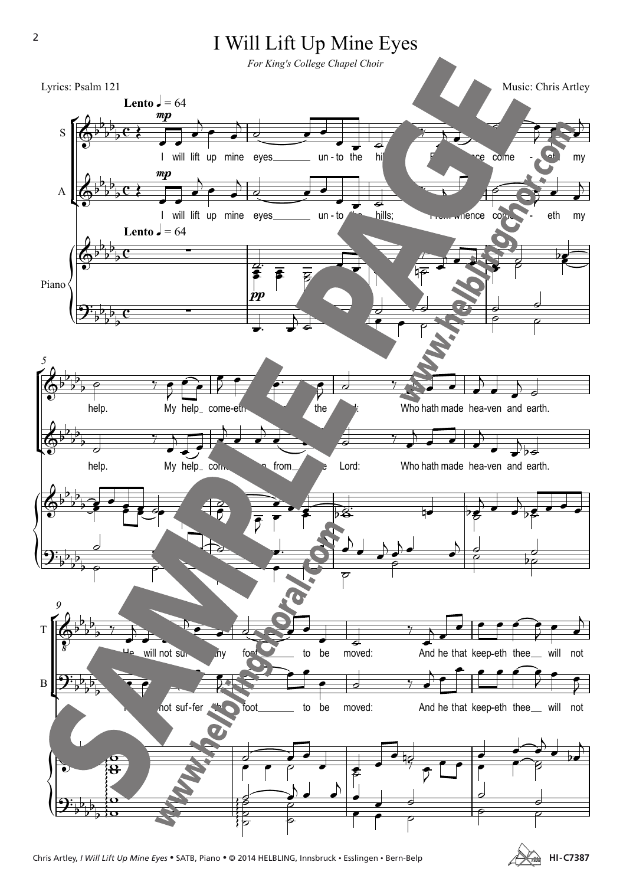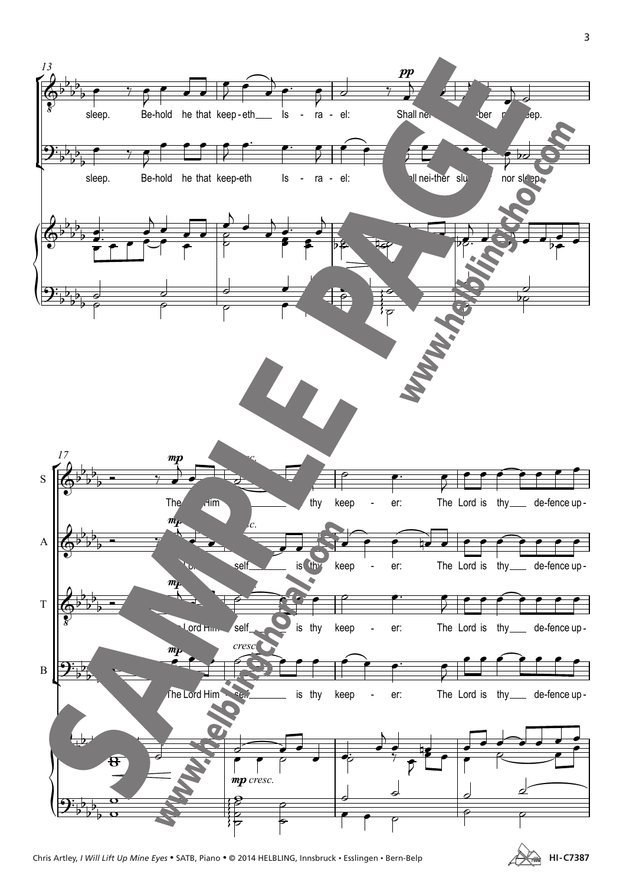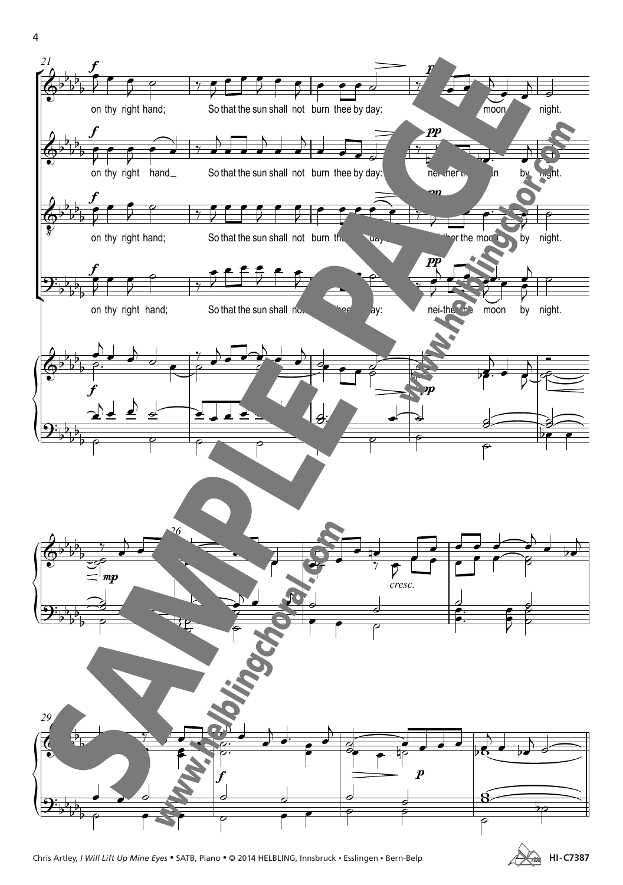

œ

™ or internet

˙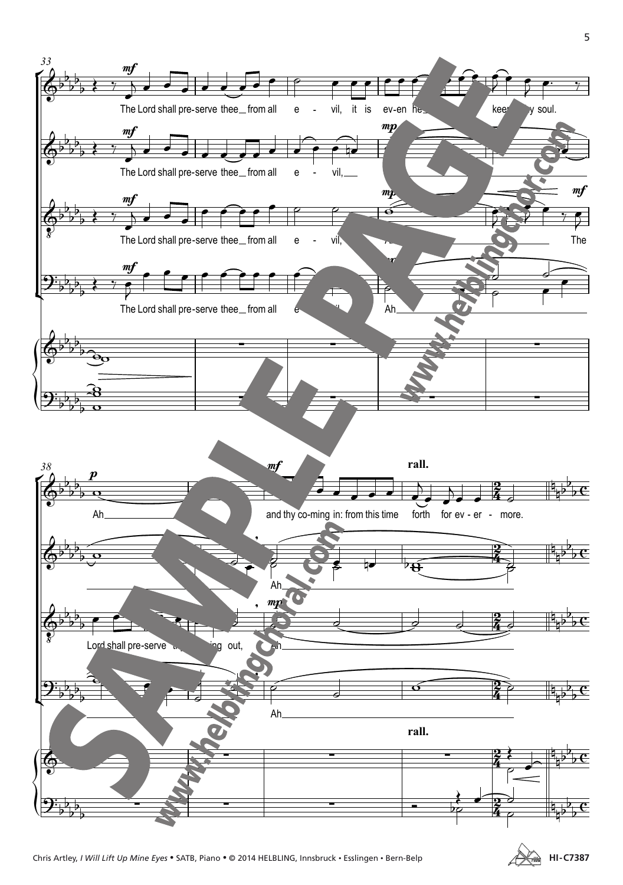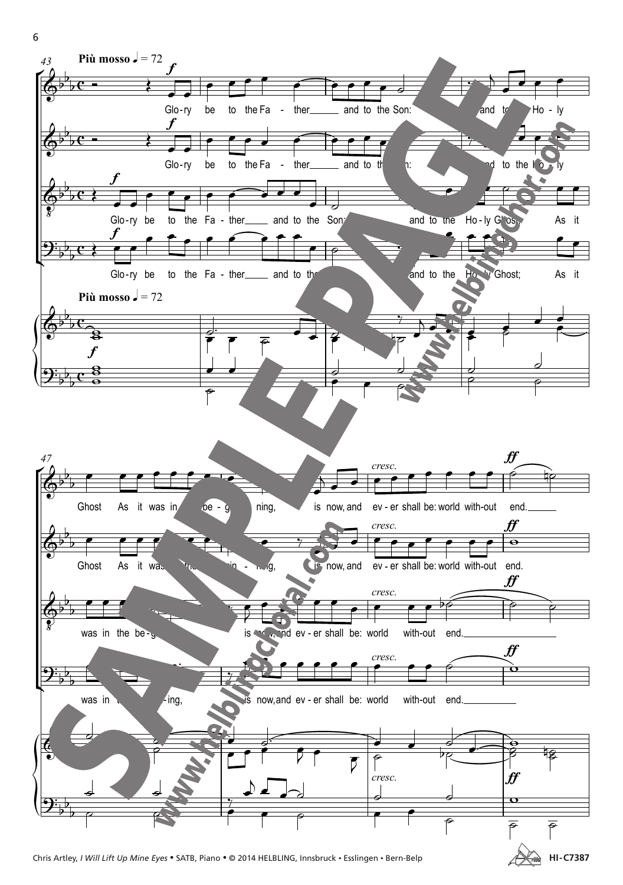

HI-C7387